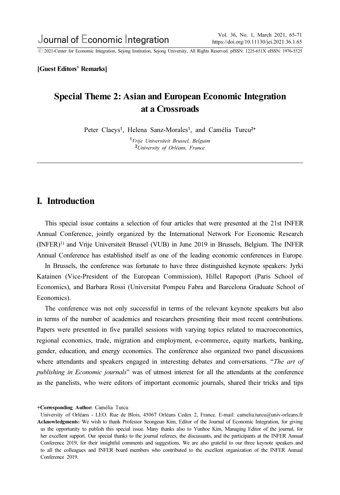ⓒ 2021-Center for Economic Integration, Sejong Institution, Sejong University, All Rights Reserved. pISSN: 1225-651X eISSN: 1976-5525

[Guest Editors' Remarks]

# Special Theme 2: Asian and European Economic Integration at a Crossroads

Peter Claeys<sup>1</sup>, Helena Sanz-Morales<sup>1</sup>, and Camélia Turcu<sup>2+</sup>

<sup>1</sup>Vrije Universiteit Brussel, Belguim <sup>2</sup>University of Orléans, France

#### I. Introduction

This special issue contains a selection of four articles that were presented at the 21st INFER Annual Conference, jointly organized by the International Network For Economic Research (INFER)1) and Vrije Universiteit Brussel (VUB) in June 2019 in Brussels, Belgium. The INFER Annual Conference has established itself as one of the leading economic conferences in Europe.

In Brussels, the conference was fortunate to have three distinguished keynote speakers: Jyrki Katainen (Vice-President of the European Commission), Hillel Rapoport (Paris School of Economics), and Barbara Rossi (Universitat Pompeu Fabra and Barcelona Graduate School of Economics).

The conference was not only successful in terms of the relevant keynote speakers but also in terms of the number of academics and researchers presenting their most recent contributions. Papers were presented in five parallel sessions with varying topics related to macroeconomics, regional economics, trade, migration and employment, e-commerce, equity markets, banking, gender, education, and energy economics. The conference also organized two panel discussions where attendants and speakers engaged in interesting debates and conversations. "The art of publishing in Economic journals" was of utmost interest for all the attendants at the conference as the panelists, who were editors of important economic journals, shared their tricks and tips

<sup>+</sup>Corresponding Author: Camélia Turcu

University of Orléans - LEO. Rue de Blois, 45067 Orléans Cedex 2, France. E-mail: camelia.turcu@univ-orleans.fr Acknowledgments: We wish to thank Professor Seongeun Kim, Editor of the Journal of Economic Integration, for giving us the opportunity to publish this special issue. Many thanks also to Yunhoe Kim, Managing Editor of the journal, for her excellent support. Our special thanks to the journal referees, the discussants, and the participants at the INFER Annual Conference 2019, for their insightful comments and suggestions. We are also grateful to our three keynote speakers and to all the colleagues and INFER board members who contributed to the excellent organization of the INFER Annual Conference 2019.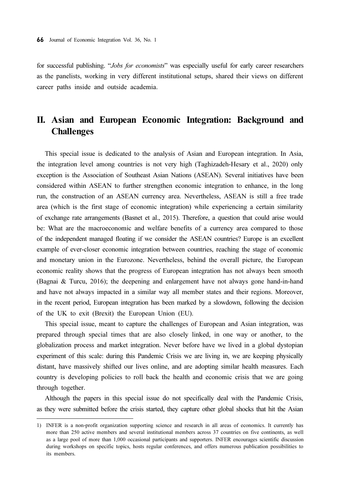for successful publishing. "Jobs for economists" was especially useful for early career researchers as the panelists, working in very different institutional setups, shared their views on different career paths inside and outside academia.

# II. Asian and European Economic Integration: Background and Challenges

This special issue is dedicated to the analysis of Asian and European integration. In Asia, the integration level among countries is not very high (Taghizadeh-Hesary et al., 2020) only exception is the Association of Southeast Asian Nations (ASEAN). Several initiatives have been considered within ASEAN to further strengthen economic integration to enhance, in the long run, the construction of an ASEAN currency area. Nevertheless, ASEAN is still a free trade area (which is the first stage of economic integration) while experiencing a certain similarity of exchange rate arrangements (Basnet et al., 2015). Therefore, a question that could arise would be: What are the macroeconomic and welfare benefits of a currency area compared to those of the independent managed floating if we consider the ASEAN countries? Europe is an excellent example of ever-closer economic integration between countries, reaching the stage of economic and monetary union in the Eurozone. Nevertheless, behind the overall picture, the European economic reality shows that the progress of European integration has not always been smooth (Bagnai & Turcu, 2016); the deepening and enlargement have not always gone hand-in-hand and have not always impacted in a similar way all member states and their regions. Moreover, in the recent period, European integration has been marked by a slowdown, following the decision of the UK to exit (Brexit) the European Union (EU).

This special issue, meant to capture the challenges of European and Asian integration, was prepared through special times that are also closely linked, in one way or another, to the globalization process and market integration. Never before have we lived in a global dystopian experiment of this scale: during this Pandemic Crisis we are living in, we are keeping physically distant, have massively shifted our lives online, and are adopting similar health measures. Each country is developing policies to roll back the health and economic crisis that we are going through together.

Although the papers in this special issue do not specifically deal with the Pandemic Crisis, as they were submitted before the crisis started, they capture other global shocks that hit the Asian

<sup>1)</sup> INFER is a non-profit organization supporting science and research in all areas of economics. It currently has more than 250 active members and several institutional members across 37 countries on five continents, as well as a large pool of more than 1,000 occasional participants and supporters. INFER encourages scientific discussion during workshops on specific topics, hosts regular conferences, and offers numerous publication possibilities to its members.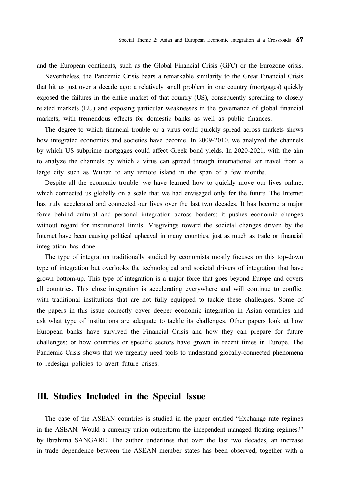and the European continents, such as the Global Financial Crisis (GFC) or the Eurozone crisis.

Nevertheless, the Pandemic Crisis bears a remarkable similarity to the Great Financial Crisis that hit us just over a decade ago: a relatively small problem in one country (mortgages) quickly exposed the failures in the entire market of that country (US), consequently spreading to closely related markets (EU) and exposing particular weaknesses in the governance of global financial markets, with tremendous effects for domestic banks as well as public finances.

The degree to which financial trouble or a virus could quickly spread across markets shows how integrated economies and societies have become. In 2009-2010, we analyzed the channels by which US subprime mortgages could affect Greek bond yields. In 2020-2021, with the aim to analyze the channels by which a virus can spread through international air travel from a large city such as Wuhan to any remote island in the span of a few months.

Despite all the economic trouble, we have learned how to quickly move our lives online, which connected us globally on a scale that we had envisaged only for the future. The Internet has truly accelerated and connected our lives over the last two decades. It has become a major force behind cultural and personal integration across borders; it pushes economic changes without regard for institutional limits. Misgivings toward the societal changes driven by the Internet have been causing political upheaval in many countries, just as much as trade or financial integration has done.

The type of integration traditionally studied by economists mostly focuses on this top-down type of integration but overlooks the technological and societal drivers of integration that have grown bottom-up. This type of integration is a major force that goes beyond Europe and covers all countries. This close integration is accelerating everywhere and will continue to conflict with traditional institutions that are not fully equipped to tackle these challenges. Some of the papers in this issue correctly cover deeper economic integration in Asian countries and ask what type of institutions are adequate to tackle its challenges. Other papers look at how European banks have survived the Financial Crisis and how they can prepare for future challenges; or how countries or specific sectors have grown in recent times in Europe. The Pandemic Crisis shows that we urgently need tools to understand globally-connected phenomena to redesign policies to avert future crises.

#### III. Studies Included in the Special Issue

The case of the ASEAN countries is studied in the paper entitled "Exchange rate regimes in the ASEAN: Would a currency union outperform the independent managed floating regimes?" by Ibrahima SANGARE. The author underlines that over the last two decades, an increase in trade dependence between the ASEAN member states has been observed, together with a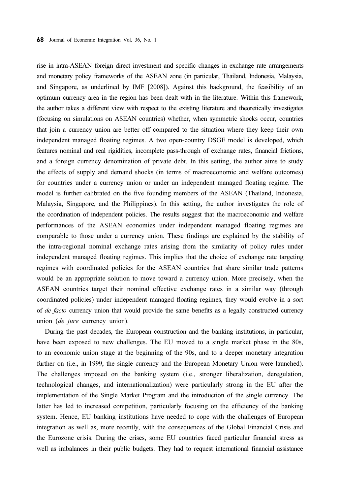rise in intra-ASEAN foreign direct investment and specific changes in exchange rate arrangements and monetary policy frameworks of the ASEAN zone (in particular, Thailand, Indonesia, Malaysia, and Singapore, as underlined by IMF [2008]). Against this background, the feasibility of an optimum currency area in the region has been dealt with in the literature. Within this framework, the author takes a different view with respect to the existing literature and theoretically investigates (focusing on simulations on ASEAN countries) whether, when symmetric shocks occur, countries that join a currency union are better off compared to the situation where they keep their own independent managed floating regimes. A two open-country DSGE model is developed, which features nominal and real rigidities, incomplete pass-through of exchange rates, financial frictions, and a foreign currency denomination of private debt. In this setting, the author aims to study the effects of supply and demand shocks (in terms of macroeconomic and welfare outcomes) for countries under a currency union or under an independent managed floating regime. The model is further calibrated on the five founding members of the ASEAN (Thailand, Indonesia, Malaysia, Singapore, and the Philippines). In this setting, the author investigates the role of the coordination of independent policies. The results suggest that the macroeconomic and welfare performances of the ASEAN economies under independent managed floating regimes are comparable to those under a currency union. These findings are explained by the stability of the intra-regional nominal exchange rates arising from the similarity of policy rules under independent managed floating regimes. This implies that the choice of exchange rate targeting regimes with coordinated policies for the ASEAN countries that share similar trade patterns would be an appropriate solution to move toward a currency union. More precisely, when the ASEAN countries target their nominal effective exchange rates in a similar way (through coordinated policies) under independent managed floating regimes, they would evolve in a sort of de facto currency union that would provide the same benefits as a legally constructed currency union (de jure currency union).

During the past decades, the European construction and the banking institutions, in particular, have been exposed to new challenges. The EU moved to a single market phase in the 80s, to an economic union stage at the beginning of the 90s, and to a deeper monetary integration further on (i.e., in 1999, the single currency and the European Monetary Union were launched). The challenges imposed on the banking system (i.e., stronger liberalization, deregulation, technological changes, and internationalization) were particularly strong in the EU after the implementation of the Single Market Program and the introduction of the single currency. The latter has led to increased competition, particularly focusing on the efficiency of the banking system. Hence, EU banking institutions have needed to cope with the challenges of European integration as well as, more recently, with the consequences of the Global Financial Crisis and the Eurozone crisis. During the crises, some EU countries faced particular financial stress as well as imbalances in their public budgets. They had to request international financial assistance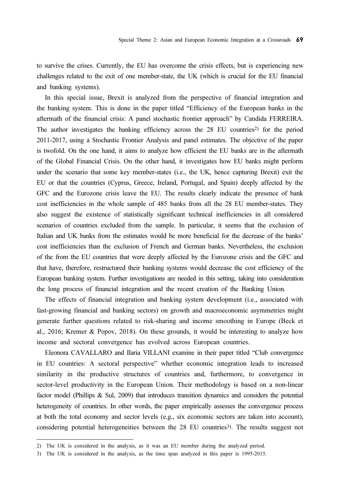to survive the crises. Currently, the EU has overcome the crisis effects, but is experiencing new challenges related to the exit of one member-state, the UK (which is crucial for the EU financial and banking systems).

In this special issue, Brexit is analyzed from the perspective of financial integration and the banking system. This is done in the paper titled "Efficiency of the European banks in the aftermath of the financial crisis: A panel stochastic frontier approach" by Candida FERREIRA. The author investigates the banking efficiency across the 28 EU countries2) for the period 2011-2017, using a Stochastic Frontier Analysis and panel estimates. The objective of the paper is twofold. On the one hand, it aims to analyze how efficient the EU banks are in the aftermath of the Global Financial Crisis. On the other hand, it investigates how EU banks might perform under the scenario that some key member-states (i.e., the UK, hence capturing Brexit) exit the EU or that the countries (Cyprus, Greece, Ireland, Portugal, and Spain) deeply affected by the GFC and the Eurozone crisis leave the EU. The results clearly indicate the presence of bank cost inefficiencies in the whole sample of 485 banks from all the 28 EU member-states. They also suggest the existence of statistically significant technical inefficiencies in all considered scenarios of countries excluded from the sample. In particular, it seems that the exclusion of Italian and UK banks from the estimates would be more beneficial for the decrease of the banks' cost inefficiencies than the exclusion of French and German banks. Nevertheless, the exclusion of the from the EU countries that were deeply affected by the Eurozone crisis and the GFC and that have, therefore, restructured their banking systems would decrease the cost efficiency of the European banking system. Further investigations are needed in this setting, taking into consideration the long process of financial integration and the recent creation of the Banking Union.

The effects of financial integration and banking system development (i.e., associated with fast-growing financial and banking sectors) on growth and macroeconomic asymmetries might generate further questions related to risk-sharing and income smoothing in Europe (Beck et al., 2016; Kremer & Popov, 2018). On these grounds, it would be interesting to analyze how income and sectoral convergence has evolved across European countries.

Eleonora CAVALLARO and Ilaria VILLANI examine in their paper titled "Club convergence in EU countries: A sectoral perspective" whether economic integration leads to increased similarity in the productive structures of countries and, furthermore, to convergence in sector-level productivity in the European Union. Their methodology is based on a non-linear factor model (Phillips & Sul, 2009) that introduces transition dynamics and considers the potential heterogeneity of countries. In other words, the paper empirically assesses the convergence process at both the total economy and sector levels (e.g., six economic sectors are taken into account), considering potential heterogeneities between the 28 EU countries<sup>3</sup>). The results suggest not

<sup>2)</sup> The UK is considered in the analysis, as it was an EU member during the analyzed period.

<sup>3)</sup> The UK is considered in the analysis, as the time span analyzed in this paper is 1995-2015.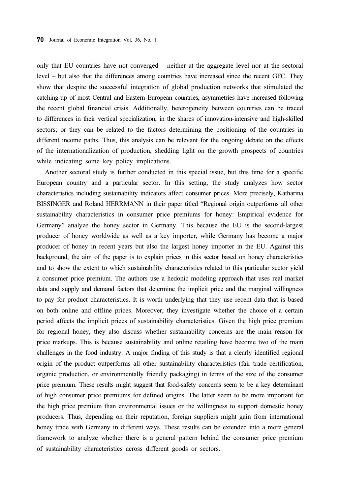only that EU countries have not converged – neither at the aggregate level nor at the sectoral level – but also that the differences among countries have increased since the recent GFC. They show that despite the successful integration of global production networks that stimulated the catching-up of most Central and Eastern European countries, asymmetries have increased following the recent global financial crisis. Additionally, heterogeneity between countries can be traced to differences in their vertical specialization, in the shares of innovation-intensive and high-skilled sectors; or they can be related to the factors determining the positioning of the countries in different income paths. Thus, this analysis can be relevant for the ongoing debate on the effects of the internationalization of production, shedding light on the growth prospects of countries while indicating some key policy implications.

Another sectoral study is further conducted in this special issue, but this time for a specific European country and a particular sector. In this setting, the study analyzes how sector characteristics including sustainability indicators affect consumer prices. More precisely, Katharina BISSINGER and Roland HERRMANN in their paper titled "Regional origin outperforms all other sustainability characteristics in consumer price premiums for honey: Empirical evidence for Germany" analyze the honey sector in Germany. This because the EU is the second-largest producer of honey worldwide as well as a key importer, while Germany has become a major producer of honey in recent years but also the largest honey importer in the EU. Against this background, the aim of the paper is to explain prices in this sector based on honey characteristics and to show the extent to which sustainability characteristics related to this particular sector yield a consumer price premium. The authors use a hedonic modeling approach that uses real market data and supply and demand factors that determine the implicit price and the marginal willingness to pay for product characteristics. It is worth underlying that they use recent data that is based on both online and offline prices. Moreover, they investigate whether the choice of a certain period affects the implicit prices of sustainability characteristics. Given the high price premium for regional honey, they also discuss whether sustainability concerns are the main reason for price markups. This is because sustainability and online retailing have become two of the main challenges in the food industry. A major finding of this study is that a clearly identified regional origin of the product outperforms all other sustainability characteristics (fair trade certification, organic production, or environmentally friendly packaging) in terms of the size of the consumer price premium. These results might suggest that food-safety concerns seem to be a key determinant of high consumer price premiums for defined origins. The latter seem to be more important for the high price premium than environmental issues or the willingness to support domestic honey producers. Thus, depending on their reputation, foreign suppliers might gain from international honey trade with Germany in different ways. These results can be extended into a more general framework to analyze whether there is a general pattern behind the consumer price premium of sustainability characteristics across different goods or sectors.